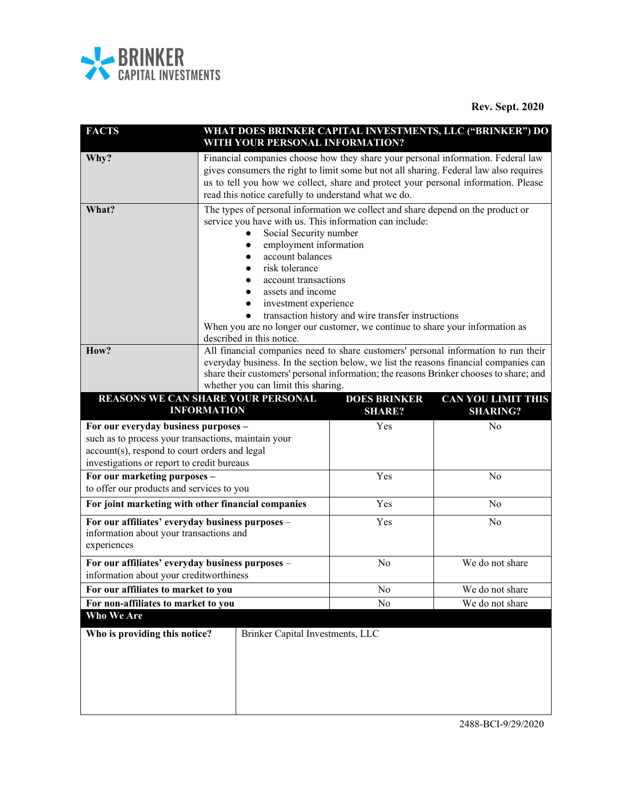

**Rev. Sept. 2020**

| <b>FACTS</b>                                                                                                                                       | WHAT DOES BRINKER CAPITAL INVESTMENTS, LLC ("BRINKER") DO<br>WITH YOUR PERSONAL INFORMATION?                                                                                                                                                                                                                                                                                                                             |                                                    |                 |
|----------------------------------------------------------------------------------------------------------------------------------------------------|--------------------------------------------------------------------------------------------------------------------------------------------------------------------------------------------------------------------------------------------------------------------------------------------------------------------------------------------------------------------------------------------------------------------------|----------------------------------------------------|-----------------|
| Why?                                                                                                                                               | Financial companies choose how they share your personal information. Federal law<br>gives consumers the right to limit some but not all sharing. Federal law also requires<br>us to tell you how we collect, share and protect your personal information. Please<br>read this notice carefully to understand what we do.                                                                                                 |                                                    |                 |
| What?                                                                                                                                              | The types of personal information we collect and share depend on the product or<br>service you have with us. This information can include:<br>Social Security number<br>employment information<br>account balances<br>risk tolerance<br>account transactions<br>assets and income<br>investment experience<br>When you are no longer our customer, we continue to share your information as<br>described in this notice. | transaction history and wire transfer instructions |                 |
| How?                                                                                                                                               | All financial companies need to share customers' personal information to run their<br>everyday business. In the section below, we list the reasons financial companies can<br>share their customers' personal information; the reasons Brinker chooses to share; and<br>whether you can limit this sharing.<br>REASONS WE CAN SHARE YOUR PERSONAL<br><b>DOES BRINKER</b><br><b>CAN YOU LIMIT THIS</b>                    |                                                    |                 |
|                                                                                                                                                    | <b>INFORMATION</b>                                                                                                                                                                                                                                                                                                                                                                                                       | <b>SHARE?</b><br>Yes                               | <b>SHARING?</b> |
| For our everyday business purposes -                                                                                                               |                                                                                                                                                                                                                                                                                                                                                                                                                          |                                                    |                 |
| such as to process your transactions, maintain your<br>account(s), respond to court orders and legal<br>investigations or report to credit bureaus |                                                                                                                                                                                                                                                                                                                                                                                                                          |                                                    | No              |
| For our marketing purposes -<br>to offer our products and services to you                                                                          |                                                                                                                                                                                                                                                                                                                                                                                                                          | Yes                                                | No              |
|                                                                                                                                                    | For joint marketing with other financial companies                                                                                                                                                                                                                                                                                                                                                                       | Yes                                                | No              |
| For our affiliates' everyday business purposes -<br>information about your transactions and<br>experiences                                         |                                                                                                                                                                                                                                                                                                                                                                                                                          | Yes                                                | No              |
| For our affiliates' everyday business purposes -<br>information about your creditworthiness                                                        |                                                                                                                                                                                                                                                                                                                                                                                                                          | No                                                 | We do not share |
| For our affiliates to market to you                                                                                                                |                                                                                                                                                                                                                                                                                                                                                                                                                          | No                                                 | We do not share |
| For non-affiliates to market to you<br>Who We Are                                                                                                  |                                                                                                                                                                                                                                                                                                                                                                                                                          | No                                                 | We do not share |